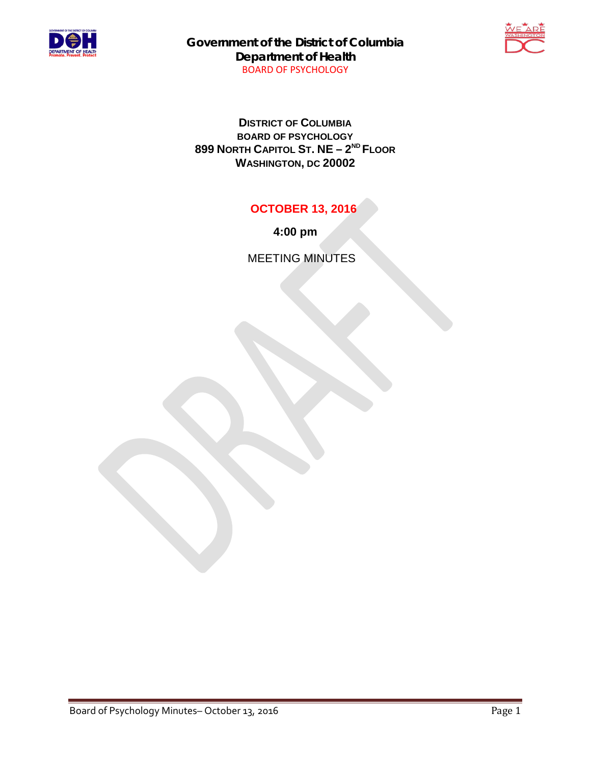

**Government of the District of Columbia Department of Health** BOARD OF PSYCHOLOGY



**DISTRICT OF COLUMBIA BOARD OF PSYCHOLOGY 899 NORTH CAPITOL ST. NE – 2ND FLOOR WASHINGTON, DC 20002**

## **OCTOBER 13, 2016**

**4:00 pm**

MEETING MINUTES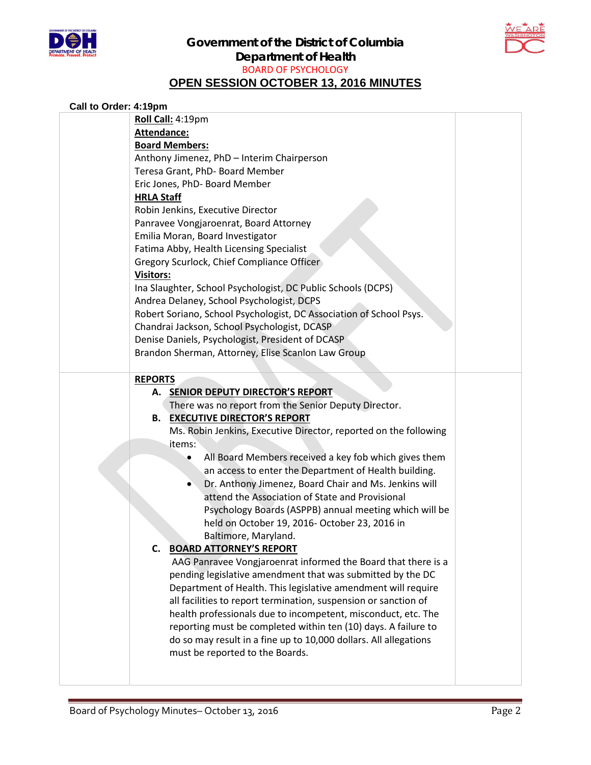



## **OPEN SESSION OCTOBER 13, 2016 MINUTES**

| Call to Order: 4:19pm                                               |
|---------------------------------------------------------------------|
| Roll Call: 4:19pm                                                   |
| Attendance:                                                         |
| <b>Board Members:</b>                                               |
| Anthony Jimenez, PhD - Interim Chairperson                          |
| Teresa Grant, PhD- Board Member                                     |
| Eric Jones, PhD- Board Member                                       |
| <b>HRLA Staff</b>                                                   |
| Robin Jenkins, Executive Director                                   |
| Panravee Vongjaroenrat, Board Attorney                              |
| Emilia Moran, Board Investigator                                    |
| Fatima Abby, Health Licensing Specialist                            |
| Gregory Scurlock, Chief Compliance Officer                          |
| <b>Visitors:</b>                                                    |
| Ina Slaughter, School Psychologist, DC Public Schools (DCPS)        |
| Andrea Delaney, School Psychologist, DCPS                           |
| Robert Soriano, School Psychologist, DC Association of School Psys. |
| Chandrai Jackson, School Psychologist, DCASP                        |
| Denise Daniels, Psychologist, President of DCASP                    |
| Brandon Sherman, Attorney, Elise Scanlon Law Group                  |
|                                                                     |
| <b>REPORTS</b>                                                      |
| A. SENIOR DEPUTY DIRECTOR'S REPORT-                                 |
| There was no report from the Senior Deputy Director.                |
| <b>B. EXECUTIVE DIRECTOR'S REPORT</b>                               |
| Ms. Robin Jenkins, Executive Director, reported on the following    |
| items:                                                              |
| All Board Members received a key fob which gives them               |
| an access to enter the Department of Health building.               |
| Dr. Anthony Jimenez, Board Chair and Ms. Jenkins will               |
| attend the Association of State and Provisional                     |
| Psychology Boards (ASPPB) annual meeting which will be              |
| held on October 19, 2016- October 23, 2016 in                       |
| Baltimore, Maryland.                                                |
| <b>BOARD ATTORNEY'S REPORT</b><br>C.                                |
| AAG Panravee Vongjaroenrat informed the Board that there is a       |
| pending legislative amendment that was submitted by the DC          |
| Department of Health. This legislative amendment will require       |
| all facilities to report termination, suspension or sanction of     |
| health professionals due to incompetent, misconduct, etc. The       |
| reporting must be completed within ten (10) days. A failure to      |
| do so may result in a fine up to 10,000 dollars. All allegations    |
| must be reported to the Boards.                                     |
|                                                                     |
|                                                                     |